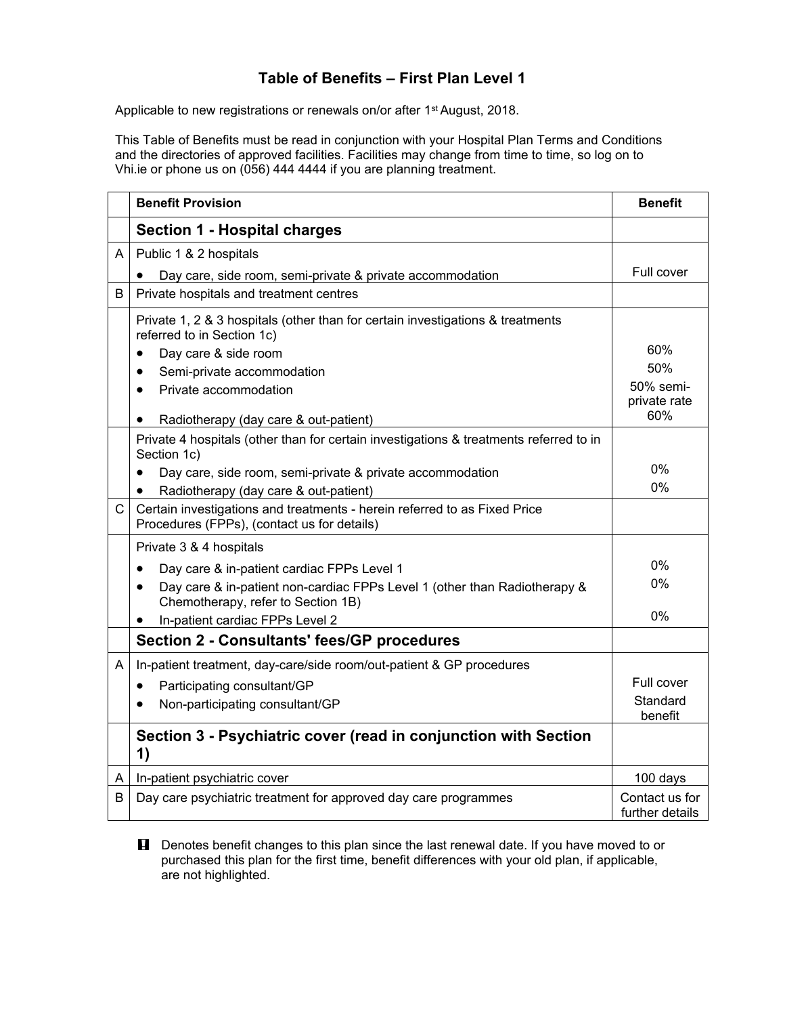## **Table of Benefits – First Plan Level 1**

Applicable to new registrations or renewals on/or after 1<sup>st</sup> August, 2018.

This Table of Benefits must be read in conjunction with your Hospital Plan Terms and Conditions and the directories of approved facilities. Facilities may change from time to time, so log on to Vhi.ie or phone us on (056) 444 4444 if you are planning treatment.

|              | <b>Benefit Provision</b>                                                                                                     | <b>Benefit</b>                    |
|--------------|------------------------------------------------------------------------------------------------------------------------------|-----------------------------------|
|              | Section 1 - Hospital charges                                                                                                 |                                   |
| A            | Public 1 & 2 hospitals                                                                                                       |                                   |
|              | Day care, side room, semi-private & private accommodation                                                                    | Full cover                        |
| B            | Private hospitals and treatment centres                                                                                      |                                   |
|              | Private 1, 2 & 3 hospitals (other than for certain investigations & treatments<br>referred to in Section 1c)                 | 60%                               |
|              | Day care & side room                                                                                                         | 50%                               |
|              | Semi-private accommodation<br>$\bullet$                                                                                      | 50% semi-                         |
|              | Private accommodation<br>$\bullet$                                                                                           | private rate                      |
|              | Radiotherapy (day care & out-patient)                                                                                        | 60%                               |
|              | Private 4 hospitals (other than for certain investigations & treatments referred to in<br>Section 1c)                        |                                   |
|              | Day care, side room, semi-private & private accommodation<br>$\bullet$                                                       | 0%                                |
|              | Radiotherapy (day care & out-patient)<br>$\bullet$                                                                           | 0%                                |
| $\mathsf{C}$ | Certain investigations and treatments - herein referred to as Fixed Price<br>Procedures (FPPs), (contact us for details)     |                                   |
|              | Private 3 & 4 hospitals                                                                                                      |                                   |
|              | Day care & in-patient cardiac FPPs Level 1<br>$\bullet$                                                                      | 0%                                |
|              | Day care & in-patient non-cardiac FPPs Level 1 (other than Radiotherapy &<br>$\bullet$<br>Chemotherapy, refer to Section 1B) | 0%                                |
|              | In-patient cardiac FPPs Level 2                                                                                              | 0%                                |
|              | <b>Section 2 - Consultants' fees/GP procedures</b>                                                                           |                                   |
| A            | In-patient treatment, day-care/side room/out-patient & GP procedures                                                         |                                   |
|              | Participating consultant/GP<br>٠                                                                                             | Full cover                        |
|              | Non-participating consultant/GP<br>$\bullet$                                                                                 | Standard<br>benefit               |
|              | Section 3 - Psychiatric cover (read in conjunction with Section<br>1)                                                        |                                   |
| A            | In-patient psychiatric cover                                                                                                 | 100 days                          |
| B            | Day care psychiatric treatment for approved day care programmes                                                              | Contact us for<br>further details |

**H** Denotes benefit changes to this plan since the last renewal date. If you have moved to or purchased this plan for the first time, benefit differences with your old plan, if applicable, are not highlighted.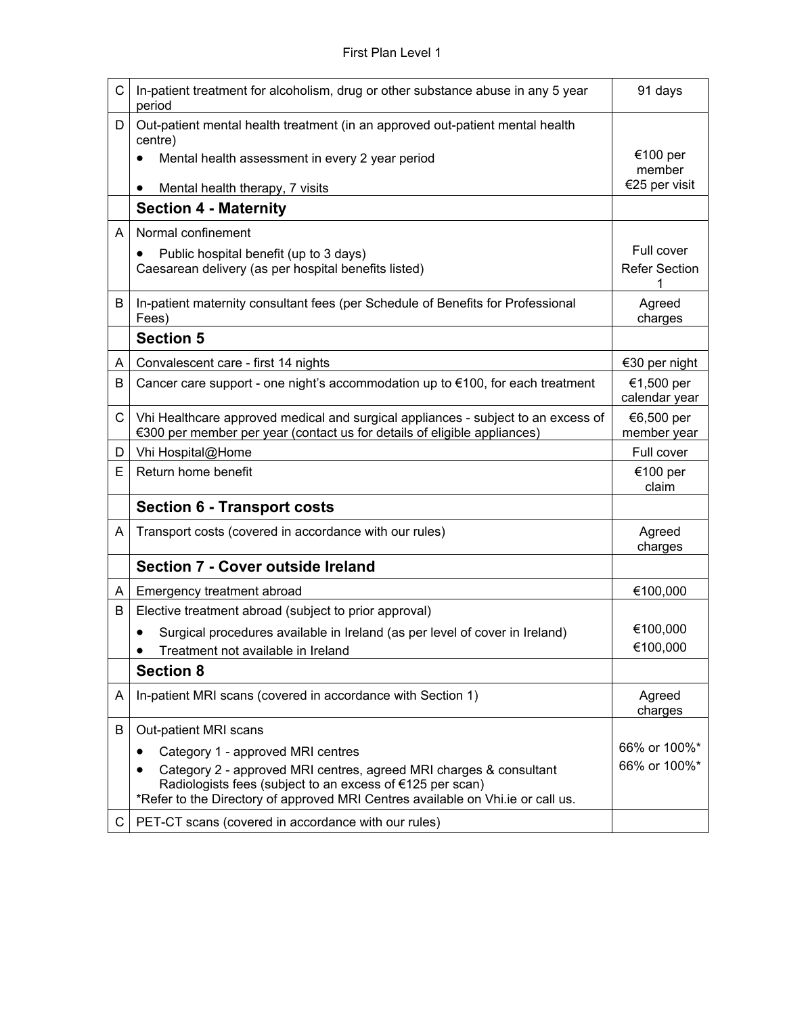| C | In-patient treatment for alcoholism, drug or other substance abuse in any 5 year<br>period                                                                    | 91 days                     |
|---|---------------------------------------------------------------------------------------------------------------------------------------------------------------|-----------------------------|
| D | Out-patient mental health treatment (in an approved out-patient mental health<br>centre)                                                                      |                             |
|   | Mental health assessment in every 2 year period<br>$\bullet$                                                                                                  | €100 per<br>member          |
|   | Mental health therapy, 7 visits<br>$\bullet$                                                                                                                  | €25 per visit               |
|   | <b>Section 4 - Maternity</b>                                                                                                                                  |                             |
| A | Normal confinement                                                                                                                                            |                             |
|   | Public hospital benefit (up to 3 days)                                                                                                                        | Full cover                  |
|   | Caesarean delivery (as per hospital benefits listed)                                                                                                          | <b>Refer Section</b><br>1   |
| B | In-patient maternity consultant fees (per Schedule of Benefits for Professional                                                                               | Agreed                      |
|   | Fees)                                                                                                                                                         | charges                     |
|   | <b>Section 5</b>                                                                                                                                              |                             |
| A | Convalescent care - first 14 nights                                                                                                                           | €30 per night               |
| В | Cancer care support - one night's accommodation up to $\epsilon$ 100, for each treatment                                                                      | €1,500 per<br>calendar year |
| C | Vhi Healthcare approved medical and surgical appliances - subject to an excess of<br>€300 per member per year (contact us for details of eligible appliances) | €6,500 per<br>member year   |
| D | Vhi Hospital@Home                                                                                                                                             | Full cover                  |
| E | Return home benefit                                                                                                                                           | €100 per<br>claim           |
|   | <b>Section 6 - Transport costs</b>                                                                                                                            |                             |
| A | Transport costs (covered in accordance with our rules)                                                                                                        | Agreed<br>charges           |
|   | <b>Section 7 - Cover outside Ireland</b>                                                                                                                      |                             |
| A | Emergency treatment abroad                                                                                                                                    | €100,000                    |
| B | Elective treatment abroad (subject to prior approval)                                                                                                         |                             |
|   | Surgical procedures available in Ireland (as per level of cover in Ireland)                                                                                   | €100,000                    |
|   | Treatment not available in Ireland                                                                                                                            | €100,000                    |
|   | <b>Section 8</b>                                                                                                                                              |                             |
| A | In-patient MRI scans (covered in accordance with Section 1)                                                                                                   | Agreed<br>charges           |
| B | Out-patient MRI scans                                                                                                                                         |                             |
|   | Category 1 - approved MRI centres                                                                                                                             | 66% or 100%*                |
|   | Category 2 - approved MRI centres, agreed MRI charges & consultant                                                                                            | 66% or 100%*                |
|   | Radiologists fees (subject to an excess of €125 per scan)<br>*Refer to the Directory of approved MRI Centres available on Vhi.ie or call us.                  |                             |
| С | PET-CT scans (covered in accordance with our rules)                                                                                                           |                             |
|   |                                                                                                                                                               |                             |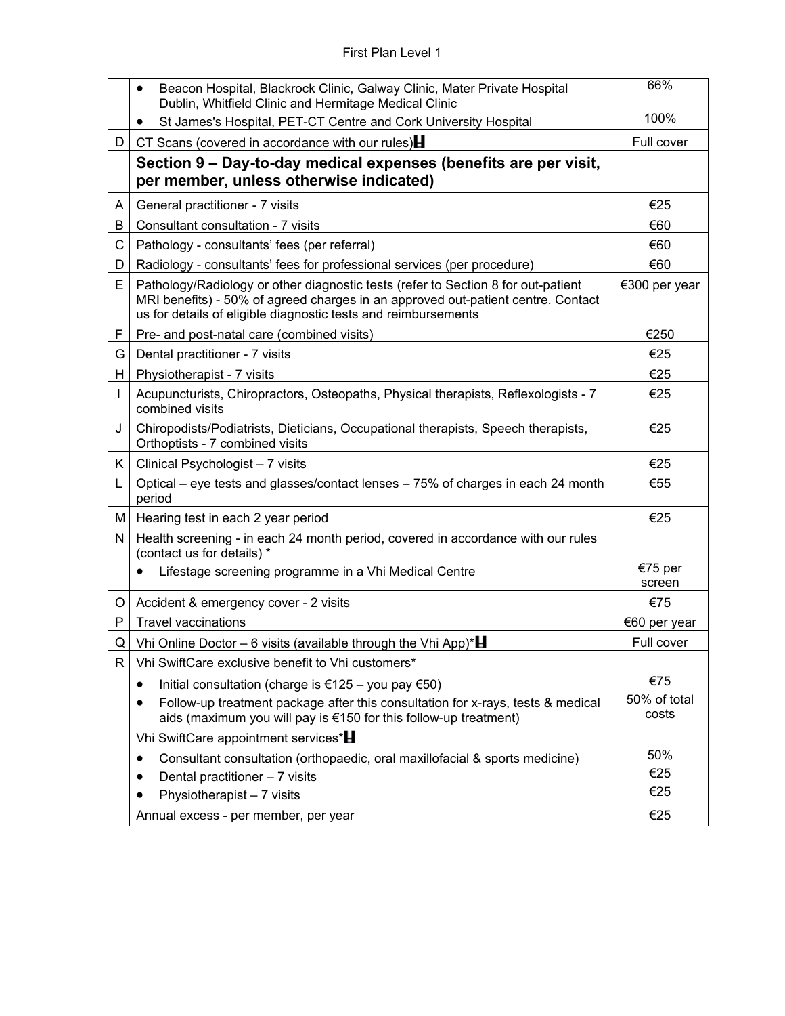|    | Beacon Hospital, Blackrock Clinic, Galway Clinic, Mater Private Hospital<br>$\bullet$<br>Dublin, Whitfield Clinic and Hermitage Medical Clinic                                                                                          | 66%                   |
|----|-----------------------------------------------------------------------------------------------------------------------------------------------------------------------------------------------------------------------------------------|-----------------------|
|    | St James's Hospital, PET-CT Centre and Cork University Hospital                                                                                                                                                                         | 100%                  |
| D  | CT Scans (covered in accordance with our rules) $\blacksquare$                                                                                                                                                                          | Full cover            |
|    | Section 9 – Day-to-day medical expenses (benefits are per visit,<br>per member, unless otherwise indicated)                                                                                                                             |                       |
| A  | General practitioner - 7 visits                                                                                                                                                                                                         | €25                   |
| B  | Consultant consultation - 7 visits                                                                                                                                                                                                      | €60                   |
| С  | Pathology - consultants' fees (per referral)                                                                                                                                                                                            | €60                   |
| D  | Radiology - consultants' fees for professional services (per procedure)                                                                                                                                                                 | €60                   |
| E  | Pathology/Radiology or other diagnostic tests (refer to Section 8 for out-patient<br>MRI benefits) - 50% of agreed charges in an approved out-patient centre. Contact<br>us for details of eligible diagnostic tests and reimbursements | €300 per year         |
| F  | Pre- and post-natal care (combined visits)                                                                                                                                                                                              | €250                  |
| G  | Dental practitioner - 7 visits                                                                                                                                                                                                          | €25                   |
| H. | Physiotherapist - 7 visits                                                                                                                                                                                                              | €25                   |
| I  | Acupuncturists, Chiropractors, Osteopaths, Physical therapists, Reflexologists - 7<br>combined visits                                                                                                                                   | €25                   |
| J  | Chiropodists/Podiatrists, Dieticians, Occupational therapists, Speech therapists,<br>Orthoptists - 7 combined visits                                                                                                                    | €25                   |
| K. | Clinical Psychologist - 7 visits                                                                                                                                                                                                        | €25                   |
| L  | Optical – eye tests and glasses/contact lenses – 75% of charges in each 24 month<br>period                                                                                                                                              | €55                   |
| M  | Hearing test in each 2 year period                                                                                                                                                                                                      | €25                   |
| N  | Health screening - in each 24 month period, covered in accordance with our rules<br>(contact us for details) *                                                                                                                          |                       |
|    | Lifestage screening programme in a Vhi Medical Centre                                                                                                                                                                                   | €75 per<br>screen     |
| O  | Accident & emergency cover - 2 visits                                                                                                                                                                                                   | €75                   |
| P  | <b>Travel vaccinations</b>                                                                                                                                                                                                              | €60 per year          |
| Q  | Vhi Online Doctor – 6 visits (available through the Vhi App)* $\blacksquare$                                                                                                                                                            | Full cover            |
| R  | Vhi SwiftCare exclusive benefit to Vhi customers*                                                                                                                                                                                       |                       |
|    | Initial consultation (charge is €125 – you pay €50)<br>$\bullet$                                                                                                                                                                        | €75                   |
|    | Follow-up treatment package after this consultation for x-rays, tests & medical<br>aids (maximum you will pay is €150 for this follow-up treatment)                                                                                     | 50% of total<br>costs |
|    | Vhi SwiftCare appointment services*                                                                                                                                                                                                     |                       |
|    | Consultant consultation (orthopaedic, oral maxillofacial & sports medicine)<br>$\bullet$                                                                                                                                                | 50%                   |
|    | Dental practitioner - 7 visits<br>$\bullet$                                                                                                                                                                                             | €25                   |
|    | Physiotherapist - 7 visits                                                                                                                                                                                                              | €25                   |
|    | Annual excess - per member, per year                                                                                                                                                                                                    | €25                   |